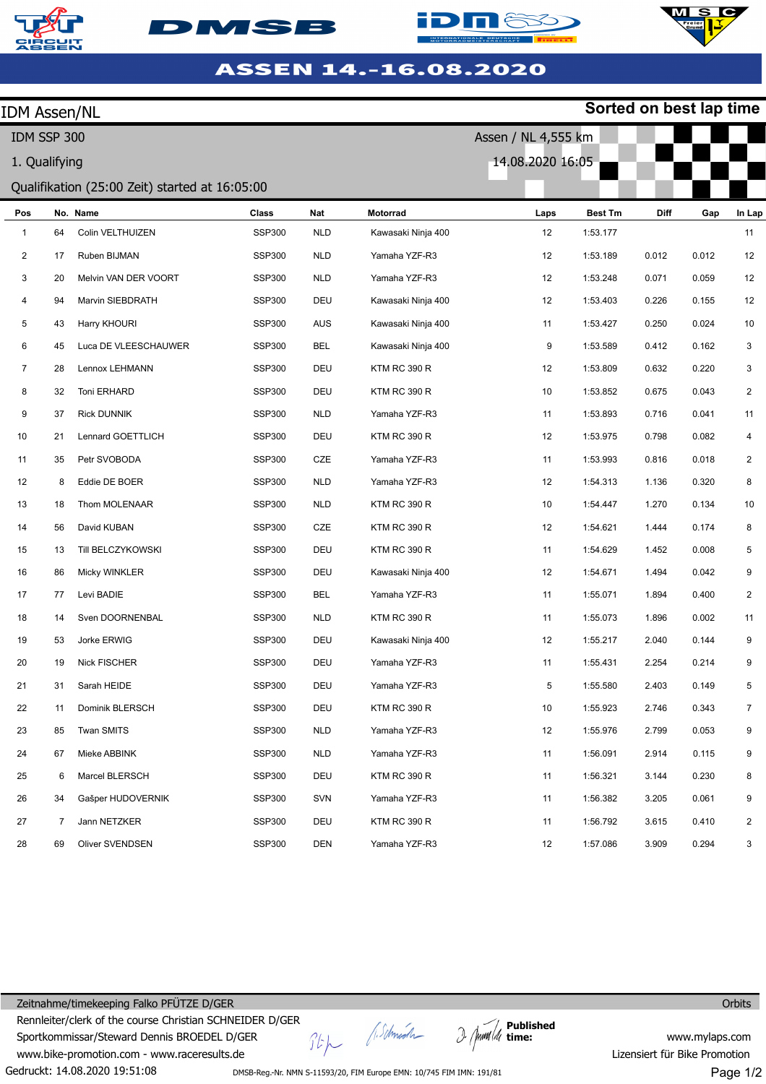

IDM Assen/NL







| IDM SSP 300   |                                                |                      |               |                  |                     | Assen / NL 4,555 km |                |       |       |                |  |  |  |  |
|---------------|------------------------------------------------|----------------------|---------------|------------------|---------------------|---------------------|----------------|-------|-------|----------------|--|--|--|--|
| 1. Qualifying |                                                |                      |               | 14.08.2020 16:05 |                     |                     |                |       |       |                |  |  |  |  |
|               | Qualifikation (25:00 Zeit) started at 16:05:00 |                      |               |                  |                     |                     |                |       |       |                |  |  |  |  |
| Pos           |                                                | No. Name             | Class         | Nat              | Motorrad            | Laps                | <b>Best Tm</b> | Diff  | Gap   | In Lap         |  |  |  |  |
| $\mathbf{1}$  | 64                                             | Colin VELTHUIZEN     | <b>SSP300</b> | <b>NLD</b>       | Kawasaki Ninja 400  | 12                  | 1:53.177       |       |       | 11             |  |  |  |  |
| 2             | 17                                             | Ruben BIJMAN         | <b>SSP300</b> | <b>NLD</b>       | Yamaha YZF-R3       | 12                  | 1:53.189       | 0.012 | 0.012 | 12             |  |  |  |  |
| 3             | 20                                             | Melvin VAN DER VOORT | <b>SSP300</b> | <b>NLD</b>       | Yamaha YZF-R3       | 12                  | 1:53.248       | 0.071 | 0.059 | 12             |  |  |  |  |
| 4             | 94                                             | Marvin SIEBDRATH     | <b>SSP300</b> | DEU              | Kawasaki Ninja 400  | 12                  | 1:53.403       | 0.226 | 0.155 | 12             |  |  |  |  |
| 5             | 43                                             | Harry KHOURI         | <b>SSP300</b> | AUS              | Kawasaki Ninja 400  | 11                  | 1:53.427       | 0.250 | 0.024 | 10             |  |  |  |  |
| 6             | 45                                             | Luca DE VLEESCHAUWER | <b>SSP300</b> | BEL              | Kawasaki Ninja 400  | 9                   | 1:53.589       | 0.412 | 0.162 | 3              |  |  |  |  |
| 7             | 28                                             | Lennox LEHMANN       | <b>SSP300</b> | DEU              | <b>KTM RC 390 R</b> | 12                  | 1:53.809       | 0.632 | 0.220 | 3              |  |  |  |  |
| 8             | 32                                             | Toni ERHARD          | <b>SSP300</b> | DEU              | <b>KTM RC 390 R</b> | 10                  | 1:53.852       | 0.675 | 0.043 | $\overline{2}$ |  |  |  |  |
| 9             | 37                                             | <b>Rick DUNNIK</b>   | <b>SSP300</b> | <b>NLD</b>       | Yamaha YZF-R3       | 11                  | 1:53.893       | 0.716 | 0.041 | 11             |  |  |  |  |
| 10            | 21                                             | Lennard GOETTLICH    | <b>SSP300</b> | DEU              | <b>KTM RC 390 R</b> | 12                  | 1:53.975       | 0.798 | 0.082 | 4              |  |  |  |  |
| 11            | 35                                             | Petr SVOBODA         | <b>SSP300</b> | CZE              | Yamaha YZF-R3       | 11                  | 1:53.993       | 0.816 | 0.018 | 2              |  |  |  |  |
| 12            | 8                                              | Eddie DE BOER        | <b>SSP300</b> | <b>NLD</b>       | Yamaha YZF-R3       | 12                  | 1:54.313       | 1.136 | 0.320 | 8              |  |  |  |  |
| 13            | 18                                             | Thom MOLENAAR        | <b>SSP300</b> | <b>NLD</b>       | <b>KTM RC 390 R</b> | 10                  | 1:54.447       | 1.270 | 0.134 | 10             |  |  |  |  |
| 14            | 56                                             | David KUBAN          | <b>SSP300</b> | CZE              | <b>KTM RC 390 R</b> | 12                  | 1:54.621       | 1.444 | 0.174 | 8              |  |  |  |  |
| 15            | 13                                             | Till BELCZYKOWSKI    | SSP300        | DEU              | <b>KTM RC 390 R</b> | 11                  | 1:54.629       | 1.452 | 0.008 | 5              |  |  |  |  |
| 16            | 86                                             | Micky WINKLER        | <b>SSP300</b> | DEU              | Kawasaki Ninja 400  | 12                  | 1:54.671       | 1.494 | 0.042 | 9              |  |  |  |  |
| 17            | 77                                             | Levi BADIE           | <b>SSP300</b> | BEL              | Yamaha YZF-R3       | 11                  | 1:55.071       | 1.894 | 0.400 | 2              |  |  |  |  |
| 18            | 14                                             | Sven DOORNENBAL      | <b>SSP300</b> | <b>NLD</b>       | <b>KTM RC 390 R</b> | 11                  | 1:55.073       | 1.896 | 0.002 | 11             |  |  |  |  |
| 19            | 53                                             | Jorke ERWIG          | <b>SSP300</b> | DEU              | Kawasaki Ninja 400  | 12                  | 1:55.217       | 2.040 | 0.144 | 9              |  |  |  |  |
| 20            | 19                                             | <b>Nick FISCHER</b>  | <b>SSP300</b> | DEU              | Yamaha YZF-R3       | 11                  | 1:55.431       | 2.254 | 0.214 | 9              |  |  |  |  |
| 21            | 31                                             | Sarah HEIDE          | SSP300        | DEU              | Yamaha YZF-R3       | 5                   | 1:55.580       | 2.403 | 0.149 | 5              |  |  |  |  |
| 22            | 11                                             | Dominik BLERSCH      | <b>SSP300</b> | DEU              | KTM RC 390 R        | 10                  | 1:55.923       | 2.746 | 0.343 | $\overline{7}$ |  |  |  |  |
| 23            | 85                                             | Twan SMITS           | <b>SSP300</b> | <b>NLD</b>       | Yamaha YZF-R3       | 12                  | 1:55.976       | 2.799 | 0.053 | 9              |  |  |  |  |
| 24            | 67                                             | Mieke ABBINK         | SSP300        | <b>NLD</b>       | Yamaha YZF-R3       | 11                  | 1:56.091       | 2.914 | 0.115 | 9              |  |  |  |  |
| 25            | 6                                              | Marcel BLERSCH       | <b>SSP300</b> | DEU              | KTM RC 390 R        | 11                  | 1:56.321       | 3.144 | 0.230 | 8              |  |  |  |  |
| 26            | 34                                             | Gašper HUDOVERNIK    | <b>SSP300</b> | <b>SVN</b>       | Yamaha YZF-R3       | 11                  | 1:56.382       | 3.205 | 0.061 | 9              |  |  |  |  |
| 27            | 7                                              | Jann NETZKER         | <b>SSP300</b> | DEU              | <b>KTM RC 390 R</b> | 11                  | 1:56.792       | 3.615 | 0.410 | 2              |  |  |  |  |
| 28            | 69                                             | Oliver SVENDSEN      | <b>SSP300</b> | <b>DEN</b>       | Yamaha YZF-R3       | 12                  | 1:57.086       | 3.909 | 0.294 | 3              |  |  |  |  |

Gedruckt: 14.08.2020 19:51:08 Zeitnahme/timekeeping Falko PFÜTZE D/GER Rennleiter/clerk of the course Christian SCHNEIDER D/GER Sportkommissar/Steward Dennis BROEDEL D/GER www.bike-promotion.com - www.raceresults.de

A.Schmich  $\frac{1}{2}$ 

**Published time:**

**Orbits** 

www.mylaps.com Lizensiert für Bike Promotion Page 1/2

DMSB-Reg.-Nr. NMN S-11593/20, FIM Europe EMN: 10/745 FIM IMN: 191/81



**Sorted on best lap time**